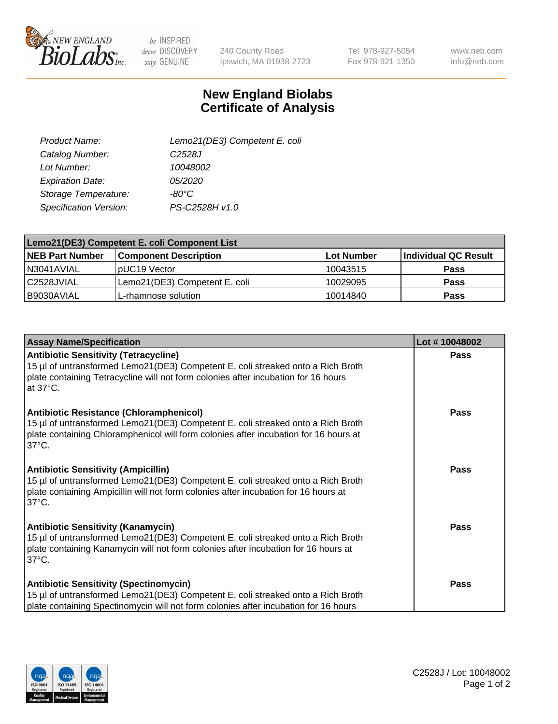

 $be$  INSPIRED drive DISCOVERY stay GENUINE

240 County Road Ipswich, MA 01938-2723 Tel 978-927-5054 Fax 978-921-1350

www.neb.com info@neb.com

## **New England Biolabs Certificate of Analysis**

| Product Name:           | Lemo21(DE3) Competent E. coli |
|-------------------------|-------------------------------|
| Catalog Number:         | C <sub>2528</sub> J           |
| Lot Number:             | 10048002                      |
| <b>Expiration Date:</b> | 05/2020                       |
| Storage Temperature:    | $-80^{\circ}$ C               |
| Specification Version:  | PS-C2528H v1.0                |

| Lemo21(DE3) Competent E. coli Component List |                               |            |                      |  |
|----------------------------------------------|-------------------------------|------------|----------------------|--|
| <b>NEB Part Number</b>                       | <b>Component Description</b>  | Lot Number | Individual QC Result |  |
| IN3041AVIAL                                  | IpUC19 Vector                 | 10043515   | <b>Pass</b>          |  |
| C2528JVIAL                                   | Lemo21(DE3) Competent E. coli | 10029095   | <b>Pass</b>          |  |
| B9030AVIAL                                   | L-rhamnose solution           | 10014840   | <b>Pass</b>          |  |

| <b>Assay Name/Specification</b>                                                                                                                                                                                                         | Lot #10048002 |
|-----------------------------------------------------------------------------------------------------------------------------------------------------------------------------------------------------------------------------------------|---------------|
| <b>Antibiotic Sensitivity (Tetracycline)</b><br>15 µl of untransformed Lemo21(DE3) Competent E. coli streaked onto a Rich Broth<br>plate containing Tetracycline will not form colonies after incubation for 16 hours<br>at 37°C.       | <b>Pass</b>   |
| Antibiotic Resistance (Chloramphenicol)<br>15 µl of untransformed Lemo21(DE3) Competent E. coli streaked onto a Rich Broth<br>plate containing Chloramphenicol will form colonies after incubation for 16 hours at<br>137°C.            | Pass          |
| <b>Antibiotic Sensitivity (Ampicillin)</b><br>15 µl of untransformed Lemo21(DE3) Competent E. coli streaked onto a Rich Broth<br>plate containing Ampicillin will not form colonies after incubation for 16 hours at<br>$37^{\circ}$ C. | <b>Pass</b>   |
| <b>Antibiotic Sensitivity (Kanamycin)</b><br>15 µl of untransformed Lemo21(DE3) Competent E. coli streaked onto a Rich Broth<br>plate containing Kanamycin will not form colonies after incubation for 16 hours at<br>$37^{\circ}$ C.   | Pass          |
| <b>Antibiotic Sensitivity (Spectinomycin)</b><br>15 µl of untransformed Lemo21(DE3) Competent E. coli streaked onto a Rich Broth<br>plate containing Spectinomycin will not form colonies after incubation for 16 hours                 | <b>Pass</b>   |